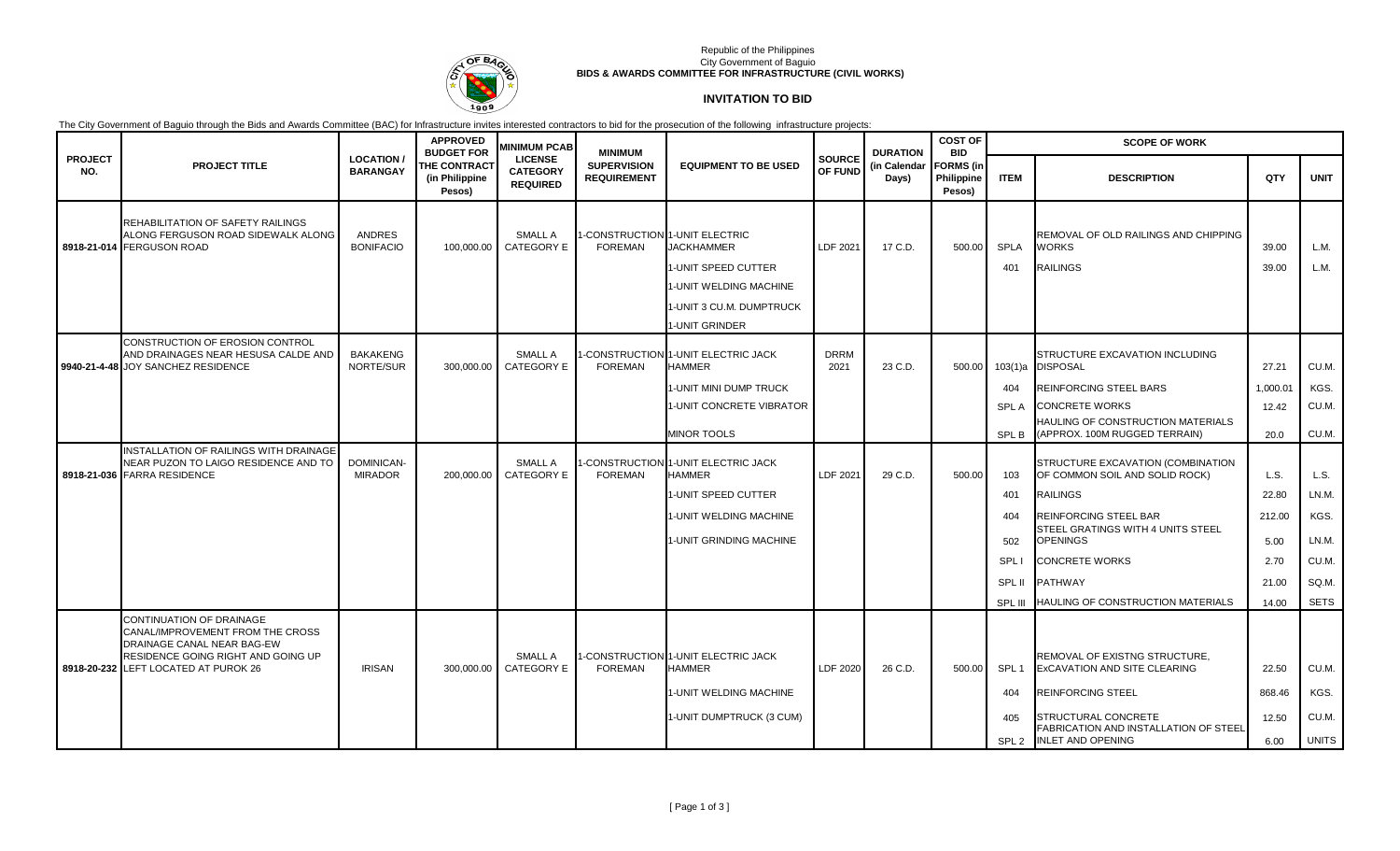

### Republic of the Philippines City Government of Baguio **BIDS & AWARDS COMMITTEE FOR INFRASTRUCTURE (CIVIL WORKS)**

# **INVITATION TO BID**

The City Government of Baguio through the Bids and Awards Committee (BAC) for Infrastructure invites interested contractors to bid for the prosecution of the following infrastructure projects:

|                       |                                                                                                      |                                    | <b>APPROVED</b><br><b>BUDGET FOR</b>            | <b>MINIMUM PCAB</b>                                  | <b>MINIMUM</b>                           |                                                                                                                                 |                          | <b>DURATION</b>       | <b>COST OF</b><br><b>BID</b><br><b>FORMS</b> (in<br>Philippine<br>Pesos) | <b>SCOPE OF WORK</b> |                                                                            |                |              |  |
|-----------------------|------------------------------------------------------------------------------------------------------|------------------------------------|-------------------------------------------------|------------------------------------------------------|------------------------------------------|---------------------------------------------------------------------------------------------------------------------------------|--------------------------|-----------------------|--------------------------------------------------------------------------|----------------------|----------------------------------------------------------------------------|----------------|--------------|--|
| <b>PROJECT</b><br>NO. | <b>PROJECT TITLE</b>                                                                                 | <b>LOCATION</b><br><b>BARANGAY</b> | <b>THE CONTRACT</b><br>(in Philippine<br>Pesos) | <b>LICENSE</b><br><b>CATEGORY</b><br><b>REQUIRED</b> | <b>SUPERVISION</b><br><b>REQUIREMENT</b> | <b>EQUIPMENT TO BE USED</b>                                                                                                     | <b>SOURCE</b><br>OF FUND | (in Calendar<br>Days) |                                                                          | <b>ITEM</b>          | <b>DESCRIPTION</b>                                                         | QTY            | <b>UNIT</b>  |  |
|                       | REHABILITATION OF SAFETY RAILINGS<br>ALONG FERGUSON ROAD SIDEWALK ALONG<br>8918-21-014 FERGUSON ROAD | <b>ANDRES</b><br><b>BONIFACIO</b>  | 100,000.00                                      | <b>SMALL A</b><br><b>CATEGORY E</b>                  | <b>FOREMAN</b>                           | -CONSTRUCTION 1-UNIT ELECTRIC<br><b>JACKHAMMER</b><br>1-UNIT SPEED CUTTER<br>1-UNIT WELDING MACHINE<br>1-UNIT 3 CU.M. DUMPTRUCK | LDF 2021                 | 17 C.D.               | 500.00                                                                   | <b>SPLA</b><br>401   | REMOVAL OF OLD RAILINGS AND CHIPPING<br><b>WORKS</b><br><b>RAILINGS</b>    | 39.00<br>39.00 | L.M.<br>L.M. |  |
|                       | CONSTRUCTION OF EROSION CONTROL                                                                      |                                    |                                                 |                                                      |                                          | 1-UNIT GRINDER                                                                                                                  |                          |                       |                                                                          |                      |                                                                            |                |              |  |
|                       | AND DRAINAGES NEAR HESUSA CALDE AND<br>9940-21-4-48 JOY SANCHEZ RESIDENCE                            | <b>BAKAKENG</b><br>NORTE/SUR       | 300,000.00                                      | <b>SMALL A</b><br><b>CATEGORY E</b>                  | <b>FOREMAN</b>                           | -CONSTRUCTION 1-UNIT ELECTRIC JACK<br><b>HAMMER</b>                                                                             | <b>DRRM</b><br>2021      | 23 C.D.               | 500.00                                                                   |                      | STRUCTURE EXCAVATION INCLUDING<br>103(1)a DISPOSAL                         | 27.21          | CU.M.        |  |
|                       |                                                                                                      |                                    |                                                 |                                                      |                                          | 1-UNIT MINI DUMP TRUCK                                                                                                          |                          |                       |                                                                          | 404                  | <b>REINFORCING STEEL BARS</b>                                              | 1,000.01       | KGS.         |  |
|                       |                                                                                                      |                                    |                                                 |                                                      |                                          | 1-UNIT CONCRETE VIBRATOR                                                                                                        |                          |                       |                                                                          | <b>SPLA</b>          | <b>CONCRETE WORKS</b>                                                      | 12.42          | CU.M.        |  |
|                       |                                                                                                      |                                    |                                                 |                                                      |                                          | <b>MINOR TOOLS</b>                                                                                                              |                          |                       |                                                                          | SPL B                | HAULING OF CONSTRUCTION MATERIALS<br>(APPROX. 100M RUGGED TERRAIN)         | 20.0           | CU.M.        |  |
|                       | INSTALLATION OF RAILINGS WITH DRAINAGE                                                               |                                    |                                                 |                                                      |                                          |                                                                                                                                 |                          |                       |                                                                          |                      |                                                                            |                |              |  |
|                       | NEAR PUZON TO LAIGO RESIDENCE AND TO<br>8918-21-036 FARRA RESIDENCE                                  | DOMINICAN-<br><b>MIRADOR</b>       | 200,000.00                                      | <b>SMALL A</b><br><b>CATEGORY E</b>                  | <b>FOREMAN</b>                           | -CONSTRUCTION 1-UNIT ELECTRIC JACK<br><b>HAMMER</b>                                                                             | LDF 2021                 | 29 C.D.               | 500.00                                                                   | 103                  | STRUCTURE EXCAVATION (COMBINATION<br>OF COMMON SOIL AND SOLID ROCK)        | L.S.           | L.S.         |  |
|                       |                                                                                                      |                                    |                                                 |                                                      |                                          | 1-UNIT SPEED CUTTER                                                                                                             |                          |                       |                                                                          | 401                  | <b>RAILINGS</b>                                                            | 22.80          | LN.M.        |  |
|                       |                                                                                                      |                                    |                                                 |                                                      |                                          | 1-UNIT WELDING MACHINE                                                                                                          |                          |                       |                                                                          | 404                  | REINFORCING STEEL BAR                                                      | 212.00         | KGS.         |  |
|                       |                                                                                                      |                                    |                                                 |                                                      |                                          | 1-UNIT GRINDING MACHINE                                                                                                         |                          |                       |                                                                          | 502                  | STEEL GRATINGS WITH 4 UNITS STEEL<br><b>OPENINGS</b>                       | 5.00           | LN.M.        |  |
|                       |                                                                                                      |                                    |                                                 |                                                      |                                          |                                                                                                                                 |                          |                       |                                                                          | SPL I                | <b>CONCRETE WORKS</b>                                                      | 2.70           | CU.M.        |  |
|                       |                                                                                                      |                                    |                                                 |                                                      |                                          |                                                                                                                                 |                          |                       |                                                                          | SPL II               | <b>PATHWAY</b>                                                             | 21.00          | SQ.M.        |  |
|                       |                                                                                                      |                                    |                                                 |                                                      |                                          |                                                                                                                                 |                          |                       |                                                                          | SPL III              | HAULING OF CONSTRUCTION MATERIALS                                          | 14.00          | <b>SETS</b>  |  |
|                       | CONTINUATION OF DRAINAGE<br>CANAL/IMPROVEMENT FROM THE CROSS<br>DRAINAGE CANAL NEAR BAG-EW           |                                    |                                                 |                                                      |                                          |                                                                                                                                 |                          |                       |                                                                          |                      |                                                                            |                |              |  |
|                       | RESIDENCE GOING RIGHT AND GOING UP<br>8918-20-232 LEFT LOCATED AT PUROK 26                           | <b>IRISAN</b>                      | 300,000.00                                      | <b>SMALL A</b><br><b>CATEGORY E</b>                  | <b>FOREMAN</b>                           | -CONSTRUCTION 1-UNIT ELECTRIC JACK<br><b>HAMMER</b>                                                                             | LDF 2020                 | 26 C.D.               | 500.00                                                                   | SPL <sub>1</sub>     | REMOVAL OF EXISTNG STRUCTURE.<br><b>EXCAVATION AND SITE CLEARING</b>       | 22.50          | CU.M.        |  |
|                       |                                                                                                      |                                    |                                                 |                                                      |                                          | 1-UNIT WELDING MACHINE                                                                                                          |                          |                       |                                                                          | 404                  | <b>REINFORCING STEEL</b>                                                   | 868.46         | KGS.         |  |
|                       |                                                                                                      |                                    |                                                 |                                                      |                                          | 1-UNIT DUMPTRUCK (3 CUM)                                                                                                        |                          |                       |                                                                          | 405                  | <b>STRUCTURAL CONCRETE</b><br><b>FABRICATION AND INSTALLATION OF STEEL</b> | 12.50          | CU.M.        |  |
|                       |                                                                                                      |                                    |                                                 |                                                      |                                          |                                                                                                                                 |                          |                       |                                                                          | SPL <sub>2</sub>     | <b>INLET AND OPENING</b>                                                   | 6.00           | <b>UNITS</b> |  |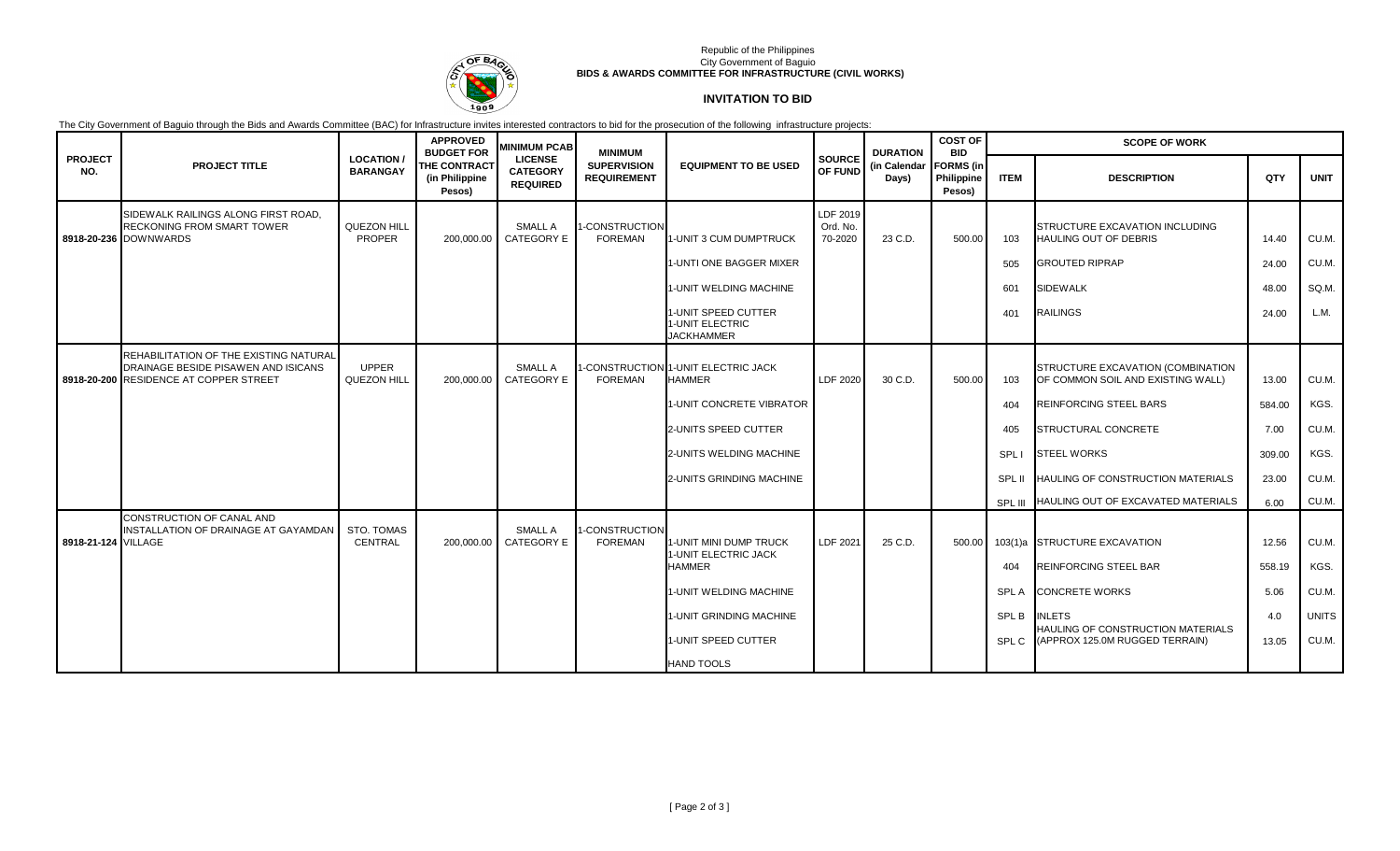

### Republic of the Philippines City Government of Baguio **BIDS & AWARDS COMMITTEE FOR INFRASTRUCTURE (CIVIL WORKS)**

# **INVITATION TO BID**

The City Government of Baguio through the Bids and Awards Committee (BAC) for Infrastructure invites interested contractors to bid for the prosecution of the following infrastructure projects:

|                       |                                                                                                                         |                                                                                                                                                                                                                    | <b>APPROVED</b><br><b>BUDGET FOR</b> | <b>MINIMUM PCAB</b>                 | <b>MINIMUM</b>                           |                                                             |                                 | <b>DURATION</b> | <b>COST OF</b><br><b>BID</b> | <b>SCOPE OF WORK</b> |                                                                        |        |              |  |
|-----------------------|-------------------------------------------------------------------------------------------------------------------------|--------------------------------------------------------------------------------------------------------------------------------------------------------------------------------------------------------------------|--------------------------------------|-------------------------------------|------------------------------------------|-------------------------------------------------------------|---------------------------------|-----------------|------------------------------|----------------------|------------------------------------------------------------------------|--------|--------------|--|
| <b>PROJECT</b><br>NO. | <b>PROJECT TITLE</b>                                                                                                    | <b>LOCATION/</b><br><b>LICENSE</b><br>THE CONTRACT<br><b>SUPERVISION</b><br><b>EQUIPMENT TO BE USED</b><br><b>BARANGAY</b><br><b>CATEGORY</b><br><b>REQUIREMENT</b><br>(in Philippine<br><b>REQUIRED</b><br>Pesos) | SOURCE<br>OF FUND                    | (in Calendar<br>Days)               | <b>FORMS</b> (in<br>Philippine<br>Pesos) | <b>ITEM</b>                                                 | <b>DESCRIPTION</b>              | QTY             | <b>UNIT</b>                  |                      |                                                                        |        |              |  |
|                       | SIDEWALK RAILINGS ALONG FIRST ROAD,<br>RECKONING FROM SMART TOWER<br>8918-20-236 DOWNWARDS                              | QUEZON HILL<br>PROPER                                                                                                                                                                                              | 200,000.00                           | SMALL A<br>CATEGORY E               | <b>I-CONSTRUCTION</b><br><b>FOREMAN</b>  | 1-UNIT 3 CUM DUMPTRUCK                                      | LDF 2019<br>Ord. No.<br>70-2020 | 23 C.D.         | 500.00                       | 103                  | STRUCTURE EXCAVATION INCLUDING<br>HAULING OUT OF DEBRIS                | 14.40  | CU.M.        |  |
|                       |                                                                                                                         |                                                                                                                                                                                                                    |                                      |                                     |                                          | 1-UNTI ONE BAGGER MIXER                                     |                                 |                 |                              | 505                  | <b>GROUTED RIPRAP</b>                                                  | 24.00  | CU.M.        |  |
|                       |                                                                                                                         |                                                                                                                                                                                                                    |                                      |                                     |                                          | 1-UNIT WELDING MACHINE                                      |                                 |                 |                              | 601                  | <b>SIDEWALK</b>                                                        | 48.00  | SQ.M.        |  |
|                       |                                                                                                                         |                                                                                                                                                                                                                    |                                      |                                     |                                          | 1-UNIT SPEED CUTTER<br>1-UNIT ELECTRIC<br><b>JACKHAMMER</b> |                                 |                 |                              | 401                  | <b>RAILINGS</b>                                                        | 24.00  | L.M.         |  |
|                       | REHABILITATION OF THE EXISTING NATURAL<br>DRAINAGE BESIDE PISAWEN AND ISICANS<br>8918-20-200 RESIDENCE AT COPPER STREET | <b>UPPER</b><br><b>QUEZON HILL</b>                                                                                                                                                                                 | 200,000.00                           | SMALL A<br><b>CATEGORY E</b>        | <b>FOREMAN</b>                           | 1-CONSTRUCTION 1-UNIT ELECTRIC JACK<br><b>HAMMER</b>        | LDF 2020                        | 30 C.D.         | 500.00                       | 103                  | STRUCTURE EXCAVATION (COMBINATION<br>OF COMMON SOIL AND EXISTING WALL) | 13.00  | CU.M.        |  |
|                       |                                                                                                                         |                                                                                                                                                                                                                    |                                      |                                     |                                          | 1-UNIT CONCRETE VIBRATOR                                    |                                 |                 |                              | 404                  | REINFORCING STEEL BARS                                                 | 584.00 | KGS.         |  |
|                       |                                                                                                                         |                                                                                                                                                                                                                    |                                      |                                     |                                          | 2-UNITS SPEED CUTTER                                        |                                 |                 |                              | 405                  | STRUCTURAL CONCRETE                                                    | 7.00   | CU.M.        |  |
|                       |                                                                                                                         |                                                                                                                                                                                                                    |                                      |                                     |                                          | 2-UNITS WELDING MACHINE                                     |                                 |                 |                              | <b>SPLI</b>          | <b>STEEL WORKS</b>                                                     | 309.00 | KGS.         |  |
|                       |                                                                                                                         |                                                                                                                                                                                                                    |                                      |                                     |                                          | 2-UNITS GRINDING MACHINE                                    |                                 |                 |                              | SPL II               | HAULING OF CONSTRUCTION MATERIALS                                      | 23.00  | CU.M.        |  |
|                       |                                                                                                                         |                                                                                                                                                                                                                    |                                      |                                     |                                          |                                                             |                                 |                 |                              | SPL III              | HAULING OUT OF EXCAVATED MATERIALS                                     | 6.00   | CU.M.        |  |
| 8918-21-124 VILLAGE   | CONSTRUCTION OF CANAL AND<br>INSTALLATION OF DRAINAGE AT GAYAMDAN                                                       | <b>STO. TOMAS</b><br>CENTRAL                                                                                                                                                                                       | 200,000.00                           | <b>SMALL A</b><br><b>CATEGORY E</b> | <b>I-CONSTRUCTION</b><br><b>FOREMAN</b>  | 1-UNIT MINI DUMP TRUCK<br>1-UNIT ELECTRIC JACK              | LDF 2021                        | 25 C.D.         | 500.00                       |                      | 103(1)a STRUCTURE EXCAVATION                                           | 12.56  | CU.M.        |  |
|                       |                                                                                                                         |                                                                                                                                                                                                                    |                                      |                                     |                                          | <b>HAMMER</b>                                               |                                 |                 |                              | 404                  | <b>REINFORCING STEEL BAR</b>                                           | 558.19 | KGS.         |  |
|                       |                                                                                                                         |                                                                                                                                                                                                                    |                                      |                                     |                                          | 1-UNIT WELDING MACHINE                                      |                                 |                 |                              | <b>SPLA</b>          | <b>CONCRETE WORKS</b>                                                  | 5.06   | CU.M.        |  |
|                       |                                                                                                                         |                                                                                                                                                                                                                    |                                      |                                     |                                          | 1-UNIT GRINDING MACHINE                                     |                                 |                 |                              | SPL B                | <b>INLETS</b><br>HAULING OF CONSTRUCTION MATERIALS                     | 4.0    | <b>UNITS</b> |  |
|                       |                                                                                                                         |                                                                                                                                                                                                                    |                                      |                                     |                                          | 1-UNIT SPEED CUTTER                                         |                                 |                 |                              | SPL C                | (APPROX 125.0M RUGGED TERRAIN)                                         | 13.05  | CU.M.        |  |
|                       |                                                                                                                         |                                                                                                                                                                                                                    |                                      |                                     |                                          | <b>HAND TOOLS</b>                                           |                                 |                 |                              |                      |                                                                        |        |              |  |